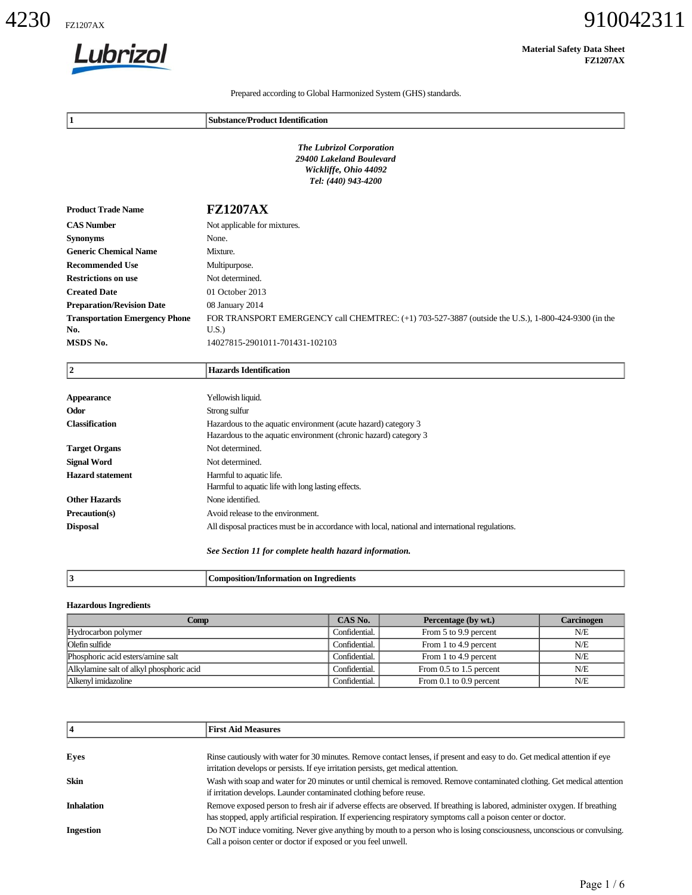

| Lubrizol                                 |                                                                                                                                                                                                                   |                                                                                                             |                         | <b>Material Safety Data Sheet</b><br><b>FZ1207AX</b> |
|------------------------------------------|-------------------------------------------------------------------------------------------------------------------------------------------------------------------------------------------------------------------|-------------------------------------------------------------------------------------------------------------|-------------------------|------------------------------------------------------|
|                                          | Prepared according to Global Harmonized System (GHS) standards.                                                                                                                                                   |                                                                                                             |                         |                                                      |
| 1                                        | <b>Substance/Product Identification</b>                                                                                                                                                                           |                                                                                                             |                         |                                                      |
|                                          |                                                                                                                                                                                                                   | <b>The Lubrizol Corporation</b><br>29400 Lakeland Boulevard<br>Wickliffe, Ohio 44092<br>Tel: (440) 943-4200 |                         |                                                      |
| <b>Product Trade Name</b>                | <b>FZ1207AX</b>                                                                                                                                                                                                   |                                                                                                             |                         |                                                      |
| <b>CAS Number</b>                        | Not applicable for mixtures.                                                                                                                                                                                      |                                                                                                             |                         |                                                      |
| <b>Synonyms</b>                          | None.                                                                                                                                                                                                             |                                                                                                             |                         |                                                      |
| <b>Generic Chemical Name</b>             | Mixture.                                                                                                                                                                                                          |                                                                                                             |                         |                                                      |
| <b>Recommended Use</b>                   | Multipurpose.                                                                                                                                                                                                     |                                                                                                             |                         |                                                      |
| <b>Restrictions on use</b>               | Not determined.                                                                                                                                                                                                   |                                                                                                             |                         |                                                      |
| <b>Created Date</b>                      | 01 October 2013                                                                                                                                                                                                   |                                                                                                             |                         |                                                      |
| <b>Preparation/Revision Date</b>         | 08 January 2014                                                                                                                                                                                                   |                                                                                                             |                         |                                                      |
| <b>Transportation Emergency Phone</b>    | FOR TRANSPORT EMERGENCY call CHEMTREC: (+1) 703-527-3887 (outside the U.S.), 1-800-424-9300 (in the                                                                                                               |                                                                                                             |                         |                                                      |
| No.<br>MSDS No.                          | U.S.<br>14027815-2901011-701431-102103                                                                                                                                                                            |                                                                                                             |                         |                                                      |
| $\boldsymbol{2}$                         | <b>Hazards Identification</b>                                                                                                                                                                                     |                                                                                                             |                         |                                                      |
| <b>Appearance</b>                        | Yellowish liquid.                                                                                                                                                                                                 |                                                                                                             |                         |                                                      |
| Odor                                     | Strong sulfur                                                                                                                                                                                                     |                                                                                                             |                         |                                                      |
| <b>Classification</b>                    | Hazardous to the aquatic environment (acute hazard) category 3<br>Hazardous to the aquatic environment (chronic hazard) category 3                                                                                |                                                                                                             |                         |                                                      |
| <b>Target Organs</b>                     | Not determined.                                                                                                                                                                                                   |                                                                                                             |                         |                                                      |
| <b>Signal Word</b>                       | Not determined.                                                                                                                                                                                                   |                                                                                                             |                         |                                                      |
| <b>Hazard statement</b>                  | Harmful to aquatic life.<br>Harmful to aquatic life with long lasting effects.                                                                                                                                    |                                                                                                             |                         |                                                      |
| <b>Other Hazards</b>                     | None identified.                                                                                                                                                                                                  |                                                                                                             |                         |                                                      |
| Precaution(s)<br><b>Disposal</b>         | Avoid release to the environment.<br>All disposal practices must be in accordance with local, national and international regulations.                                                                             |                                                                                                             |                         |                                                      |
|                                          | See Section 11 for complete health hazard information.                                                                                                                                                            |                                                                                                             |                         |                                                      |
| 3                                        | <b>Composition/Information on Ingredients</b>                                                                                                                                                                     |                                                                                                             |                         |                                                      |
| <b>Hazardous Ingredients</b>             | <b>Comp</b>                                                                                                                                                                                                       | CAS No.                                                                                                     | Percentage (by wt.)     | <b>Carcinogen</b>                                    |
| Hydrocarbon polymer                      |                                                                                                                                                                                                                   | Confidential.                                                                                               | From 5 to 9.9 percent   | N/E                                                  |
| Olefin sulfide                           |                                                                                                                                                                                                                   | Confidential.                                                                                               | From 1 to 4.9 percent   | N/E                                                  |
| Phosphoric acid esters/amine salt        |                                                                                                                                                                                                                   | Confidential.                                                                                               | From 1 to 4.9 percent   | N/E                                                  |
| Alkylamine salt of alkyl phosphoric acid |                                                                                                                                                                                                                   | Confidential.                                                                                               | From 0.5 to 1.5 percent | N/E                                                  |
| Alkenyl imidazoline                      |                                                                                                                                                                                                                   | Confidential.                                                                                               | From 0.1 to 0.9 percent | $N\!/\!E$                                            |
| 4                                        | <b>First Aid Measures</b>                                                                                                                                                                                         |                                                                                                             |                         |                                                      |
| Eyes                                     | Rinse cautiously with water for 30 minutes. Remove contact lenses, if present and easy to do. Get medical attention if eye<br>irritation develops or persists. If eye irritation persists, get medical attention. |                                                                                                             |                         |                                                      |
| Skin                                     | Wash with soap and water for 20 minutes or until chemical is removed. Remove contaminated clothing. Get medical attention<br>if irritation develops. Launder contaminated clothing before reuse.                  |                                                                                                             |                         |                                                      |
|                                          | Remove exposed person to fresh air if adverse effects are observed. If breathing is labored, administer oxygen. If breathing                                                                                      |                                                                                                             |                         |                                                      |
| <b>Inhalation</b>                        | has stopped, apply artificial respiration. If experiencing respiratory symptoms call a poison center or doctor.                                                                                                   |                                                                                                             |                         |                                                      |

#### **Hazardous Ingredients**

| Comp                                     | CAS No.       | Percentage (by wt.)     | Carcinogen |
|------------------------------------------|---------------|-------------------------|------------|
| Hydrocarbon polymer                      | Confidential. | From 5 to 9.9 percent   | N/E        |
| Olefin sulfide                           | Confidential. | From 1 to 4.9 percent   | N/E        |
| Phosphoric acid esters/amine salt        | Confidential. | From 1 to 4.9 percent   | N/E        |
| Alkylamine salt of alkyl phosphoric acid | Confidential. | From 0.5 to 1.5 percent | N/E        |
| Alkenyl imidazoline                      | Confidential. | From 0.1 to 0.9 percent | N/E        |

|                   | <b>First Aid Measures</b>                                                                                                                                                                                                                       |  |
|-------------------|-------------------------------------------------------------------------------------------------------------------------------------------------------------------------------------------------------------------------------------------------|--|
|                   |                                                                                                                                                                                                                                                 |  |
| Eyes              | Rinse cautiously with water for 30 minutes. Remove contact lenses, if present and easy to do. Get medical attention if eye<br>irritation develops or persists. If eye irritation persists, get medical attention.                               |  |
| <b>Skin</b>       | Wash with soap and water for 20 minutes or until chemical is removed. Remove contaminated clothing. Get medical attention<br>if irritation develops. Launder contaminated clothing before reuse.                                                |  |
| <b>Inhalation</b> | Remove exposed person to fresh air if adverse effects are observed. If breathing is labored, administer oxygen. If breathing<br>has stopped, apply artificial respiration. If experiencing respiratory symptoms call a poison center or doctor. |  |
| <b>Ingestion</b>  | Do NOT induce vomiting. Never give anything by mouth to a person who is losing consciousness, unconscious or convulsing.<br>Call a poison center or doctor if exposed or you feel unwell.                                                       |  |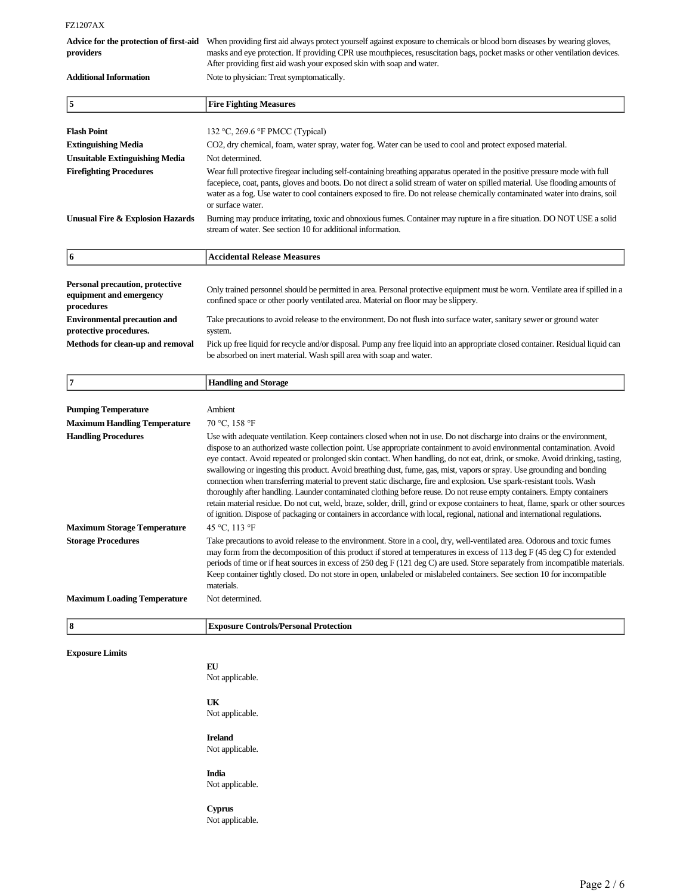FZ1207AX

| When providing first aid always protect yourself against exposure to chemicals or blood born diseases by wearing gloves,   |
|----------------------------------------------------------------------------------------------------------------------------|
| masks and eye protection. If providing CPR use mouthpieces, resuscitation bags, pocket masks or other ventilation devices. |
| After providing first aid wash your exposed skin with soap and water.                                                      |
| Note to physician: Treat symptomatically.                                                                                  |
|                                                                                                                            |

| 15                                    | <b>Fire Fighting Measures</b>                                                                                                                                                                                                                                                                                                                                                                                     |  |
|---------------------------------------|-------------------------------------------------------------------------------------------------------------------------------------------------------------------------------------------------------------------------------------------------------------------------------------------------------------------------------------------------------------------------------------------------------------------|--|
|                                       |                                                                                                                                                                                                                                                                                                                                                                                                                   |  |
| <b>Flash Point</b>                    | 132 °C, 269.6 °F PMCC (Typical)                                                                                                                                                                                                                                                                                                                                                                                   |  |
| <b>Extinguishing Media</b>            | CO2, dry chemical, foam, water spray, water fog. Water can be used to cool and protect exposed material.                                                                                                                                                                                                                                                                                                          |  |
| <b>Unsuitable Extinguishing Media</b> | Not determined.                                                                                                                                                                                                                                                                                                                                                                                                   |  |
| <b>Firefighting Procedures</b>        | Wear full protective firegear including self-containing breathing apparatus operated in the positive pressure mode with full<br>facepiece, coat, pants, gloves and boots. Do not direct a solid stream of water on spilled material. Use flooding amounts of<br>water as a fog. Use water to cool containers exposed to fire. Do not release chemically contaminated water into drains, soil<br>or surface water. |  |
| Unusual Fire & Explosion Hazards      | Burning may produce irritating, toxic and obnoxious fumes. Container may rupture in a fire situation. DO NOT USE a solid<br>stream of water. See section 10 for additional information.                                                                                                                                                                                                                           |  |

| <b>Personal precaution, protective</b><br>equipment and emergency<br>procedures | Only trained personnel should be permitted in area. Personal protective equipment must be worn. Ventilate area if spilled in a<br>confined space or other poorly ventilated area. Material on floor may be slippery. |
|---------------------------------------------------------------------------------|----------------------------------------------------------------------------------------------------------------------------------------------------------------------------------------------------------------------|
| <b>Environmental precaution and</b>                                             | Take precautions to avoid release to the environment. Do not flush into surface water, sanitary sewer or ground water                                                                                                |
| protective procedures.                                                          | system.                                                                                                                                                                                                              |
| Methods for clean-up and removal                                                | Pick up free liquid for recycle and/or disposal. Pump any free liquid into an appropriate closed container. Residual liquid can                                                                                      |
|                                                                                 | be absorbed on inert material. Wash spill area with soap and water.                                                                                                                                                  |

| 17                                                               | <b>Handling and Storage</b>                                                                                                                                                                                                                                                                                                                                                                                                                                                                                                                                                                                                                                                                                                                                                                                                                                                                                                                                                                                                                             |
|------------------------------------------------------------------|---------------------------------------------------------------------------------------------------------------------------------------------------------------------------------------------------------------------------------------------------------------------------------------------------------------------------------------------------------------------------------------------------------------------------------------------------------------------------------------------------------------------------------------------------------------------------------------------------------------------------------------------------------------------------------------------------------------------------------------------------------------------------------------------------------------------------------------------------------------------------------------------------------------------------------------------------------------------------------------------------------------------------------------------------------|
|                                                                  |                                                                                                                                                                                                                                                                                                                                                                                                                                                                                                                                                                                                                                                                                                                                                                                                                                                                                                                                                                                                                                                         |
| <b>Pumping Temperature</b>                                       | Ambient                                                                                                                                                                                                                                                                                                                                                                                                                                                                                                                                                                                                                                                                                                                                                                                                                                                                                                                                                                                                                                                 |
| <b>Maximum Handling Temperature</b>                              | 70 °C, 158 °F                                                                                                                                                                                                                                                                                                                                                                                                                                                                                                                                                                                                                                                                                                                                                                                                                                                                                                                                                                                                                                           |
| <b>Handling Procedures</b><br><b>Maximum Storage Temperature</b> | Use with adequate ventilation. Keep containers closed when not in use. Do not discharge into drains or the environment,<br>dispose to an authorized waste collection point. Use appropriate containment to avoid environmental contamination. Avoid<br>eye contact. Avoid repeated or prolonged skin contact. When handling, do not eat, drink, or smoke. Avoid drinking, tasting,<br>swallowing or ingesting this product. Avoid breathing dust, fume, gas, mist, vapors or spray. Use grounding and bonding<br>connection when transferring material to prevent static discharge, fire and explosion. Use spark-resistant tools. Wash<br>thoroughly after handling. Launder contaminated clothing before reuse. Do not reuse empty containers. Empty containers<br>retain material residue. Do not cut, weld, braze, solder, drill, grind or expose containers to heat, flame, spark or other sources<br>of ignition. Dispose of packaging or containers in accordance with local, regional, national and international regulations.<br>45 °C, 113 °F |
|                                                                  |                                                                                                                                                                                                                                                                                                                                                                                                                                                                                                                                                                                                                                                                                                                                                                                                                                                                                                                                                                                                                                                         |
| <b>Storage Procedures</b>                                        | Take precautions to avoid release to the environment. Store in a cool, dry, well-ventilated area. Odorous and toxic fumes<br>may form from the decomposition of this product if stored at temperatures in excess of 113 deg F (45 deg C) for extended<br>periods of time or if heat sources in excess of 250 deg $F(121 \deg C)$ are used. Store separately from incompatible materials.<br>Keep container tightly closed. Do not store in open, unlabeled or mislabeled containers. See section 10 for incompatible<br>materials.                                                                                                                                                                                                                                                                                                                                                                                                                                                                                                                      |
| <b>Maximum Loading Temperature</b>                               | Not determined.                                                                                                                                                                                                                                                                                                                                                                                                                                                                                                                                                                                                                                                                                                                                                                                                                                                                                                                                                                                                                                         |
|                                                                  |                                                                                                                                                                                                                                                                                                                                                                                                                                                                                                                                                                                                                                                                                                                                                                                                                                                                                                                                                                                                                                                         |
| 8                                                                | <b>Exposure Controls/Personal Protection</b>                                                                                                                                                                                                                                                                                                                                                                                                                                                                                                                                                                                                                                                                                                                                                                                                                                                                                                                                                                                                            |

**Exposure Limits**

## **EU**

**6 Accidental Release Measures**

Not applicable.

## **UK**

Not applicable.

## **Ireland**

Not applicable.

#### **India**

Not applicable.

## **Cyprus**

Not applicable.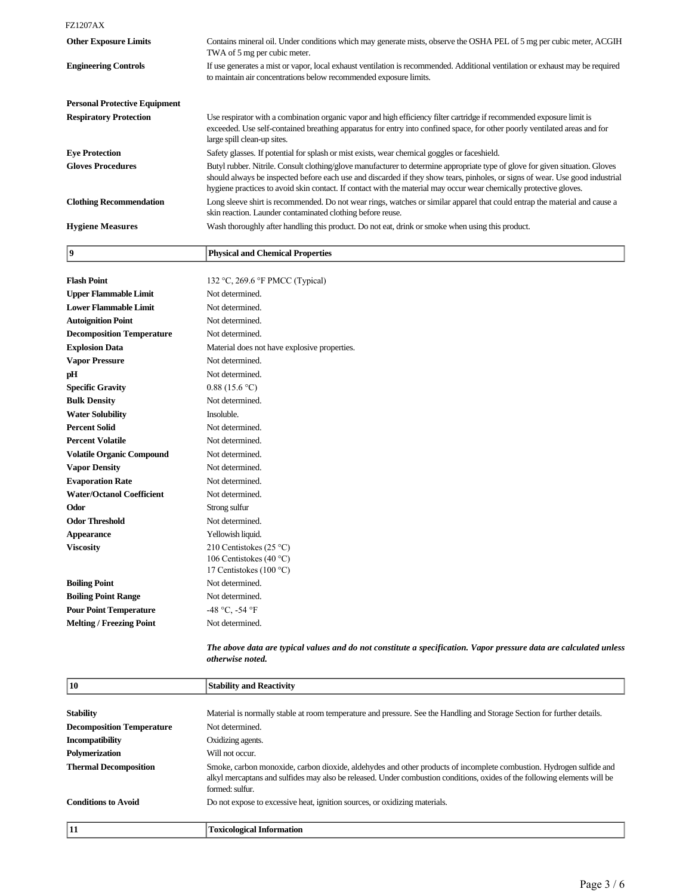FZ1207AX

**9 Physical and Chemical Properties**

| <b>Other Exposure Limits</b>         | Contains mineral oil. Under conditions which may generate mists, observe the OSHA PEL of 5 mg per cubic meter, ACGIH<br>TWA of 5 mg per cubic meter.                                                                                                                                                                                                                                |
|--------------------------------------|-------------------------------------------------------------------------------------------------------------------------------------------------------------------------------------------------------------------------------------------------------------------------------------------------------------------------------------------------------------------------------------|
| <b>Engineering Controls</b>          | If use generates a mist or vapor, local exhaust ventilation is recommended. Additional ventilation or exhaust may be required<br>to maintain air concentrations below recommended exposure limits.                                                                                                                                                                                  |
| <b>Personal Protective Equipment</b> |                                                                                                                                                                                                                                                                                                                                                                                     |
| <b>Respiratory Protection</b>        | Use respirator with a combination organic vapor and high efficiency filter cartridge if recommended exposure limit is<br>exceeded. Use self-contained breathing apparatus for entry into confined space, for other poorly ventilated areas and for<br>large spill clean-up sites.                                                                                                   |
| <b>Eye Protection</b>                | Safety glasses. If potential for splash or mist exists, wear chemical goggles or faceshield.                                                                                                                                                                                                                                                                                        |
| <b>Gloves Procedures</b>             | Butyl rubber. Nitrile. Consult clothing/glove manufacturer to determine appropriate type of glove for given situation. Gloves<br>should always be inspected before each use and discarded if they show tears, pinholes, or signs of wear. Use good industrial<br>hygiene practices to avoid skin contact. If contact with the material may occur wear chemically protective gloves. |
| <b>Clothing Recommendation</b>       | Long sleeve shirt is recommended. Do not wear rings, watches or similar apparel that could entrap the material and cause a<br>skin reaction. Launder contaminated clothing before reuse.                                                                                                                                                                                            |
| <b>Hygiene Measures</b>              | Wash thoroughly after handling this product. Do not eat, drink or smoke when using this product.                                                                                                                                                                                                                                                                                    |

| <b>Flash Point</b>               | 132 °C, 269.6 °F PMCC (Typical)              |
|----------------------------------|----------------------------------------------|
| <b>Upper Flammable Limit</b>     | Not determined.                              |
| <b>Lower Flammable Limit</b>     | Not determined.                              |
| <b>Autoignition Point</b>        | Not determined.                              |
| <b>Decomposition Temperature</b> | Not determined.                              |
| <b>Explosion Data</b>            | Material does not have explosive properties. |
| <b>Vapor Pressure</b>            | Not determined.                              |
| pH                               | Not determined.                              |
| <b>Specific Gravity</b>          | 0.88(15.6 °C)                                |
| <b>Bulk Density</b>              | Not determined.                              |
| <b>Water Solubility</b>          | Insoluble.                                   |
| <b>Percent Solid</b>             | Not determined.                              |
| <b>Percent Volatile</b>          | Not determined.                              |
| <b>Volatile Organic Compound</b> | Not determined.                              |
| <b>Vapor Density</b>             | Not determined.                              |
| <b>Evaporation Rate</b>          | Not determined.                              |
| <b>Water/Octanol Coefficient</b> | Not determined.                              |
| Odor                             | Strong sulfur                                |
| <b>Odor Threshold</b>            | Not determined.                              |
| Appearance                       | Yellowish liquid.                            |
| <b>Viscosity</b>                 | 210 Centistokes (25 °C)                      |
|                                  | 106 Centistokes (40 °C)                      |
|                                  | 17 Centistokes (100 °C)                      |
| <b>Boiling Point</b>             | Not determined.                              |
| <b>Boiling Point Range</b>       | Not determined.                              |
| <b>Pour Point Temperature</b>    | -48 °C, -54 °F                               |
| <b>Melting / Freezing Point</b>  | Not determined.                              |
|                                  |                                              |

*The above data are typical values and do not constitute a specification. Vapor pressure data are calculated unless otherwise noted.*

| 10                               | <b>Stability and Reactivity</b>                                                                                                                                                                                                                                     |
|----------------------------------|---------------------------------------------------------------------------------------------------------------------------------------------------------------------------------------------------------------------------------------------------------------------|
|                                  |                                                                                                                                                                                                                                                                     |
| <b>Stability</b>                 | Material is normally stable at room temperature and pressure. See the Handling and Storage Section for further details.                                                                                                                                             |
| <b>Decomposition Temperature</b> | Not determined.                                                                                                                                                                                                                                                     |
| <b>Incompatibility</b>           | Oxidizing agents.                                                                                                                                                                                                                                                   |
| <b>Polymerization</b>            | Will not occur.                                                                                                                                                                                                                                                     |
| <b>Thermal Decomposition</b>     | Smoke, carbon monoxide, carbon dioxide, aldehydes and other products of incomplete combustion. Hydrogen sulfide and<br>alkyl mercaptans and sulfides may also be released. Under combustion conditions, oxides of the following elements will be<br>formed: sulfur. |
| <b>Conditions to Avoid</b>       | Do not expose to excessive heat, ignition sources, or oxidizing materials.                                                                                                                                                                                          |
| 11                               | <b>Toxicological Information</b>                                                                                                                                                                                                                                    |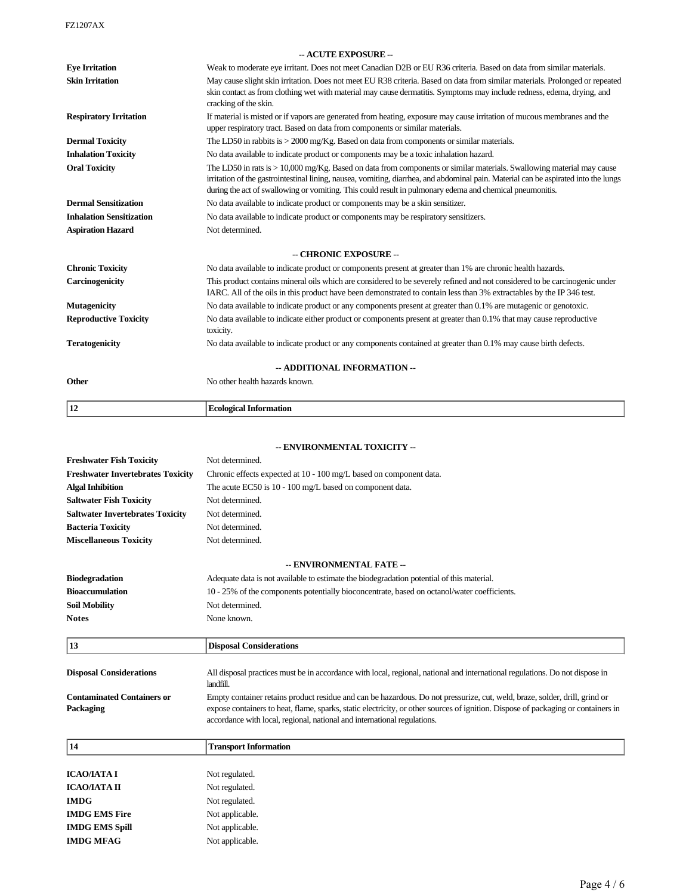FZ1207AX

|                                 | - ACUTE EXPOSURE --                                                                                                                                                                                                                                                                                                                                                      |
|---------------------------------|--------------------------------------------------------------------------------------------------------------------------------------------------------------------------------------------------------------------------------------------------------------------------------------------------------------------------------------------------------------------------|
| <b>Eye Irritation</b>           | Weak to moderate eye irritant. Does not meet Canadian D2B or EU R36 criteria. Based on data from similar materials.                                                                                                                                                                                                                                                      |
| <b>Skin Irritation</b>          | May cause slight skin irritation. Does not meet EU R38 criteria. Based on data from similar materials. Prolonged or repeated<br>skin contact as from clothing wet with material may cause dermatitis. Symptoms may include redness, edema, drying, and<br>cracking of the skin.                                                                                          |
| <b>Respiratory Irritation</b>   | If material is misted or if vapors are generated from heating, exposure may cause irritation of mucous membranes and the<br>upper respiratory tract. Based on data from components or similar materials.                                                                                                                                                                 |
| <b>Dermal Toxicity</b>          | The LD50 in rabbits is $>$ 2000 mg/Kg. Based on data from components or similar materials.                                                                                                                                                                                                                                                                               |
| <b>Inhalation Toxicity</b>      | No data available to indicate product or components may be a toxic inhalation hazard.                                                                                                                                                                                                                                                                                    |
| <b>Oral Toxicity</b>            | The LD50 in rats is > 10,000 mg/Kg. Based on data from components or similar materials. Swallowing material may cause<br>irritation of the gastrointestinal lining, nausea, vomiting, diarrhea, and abdominal pain. Material can be aspirated into the lungs<br>during the act of swallowing or vomiting. This could result in pulmonary edema and chemical pneumonitis. |
| <b>Dermal Sensitization</b>     | No data available to indicate product or components may be a skin sensitizer.                                                                                                                                                                                                                                                                                            |
| <b>Inhalation Sensitization</b> | No data available to indicate product or components may be respiratory sensitizers.                                                                                                                                                                                                                                                                                      |
| <b>Aspiration Hazard</b>        | Not determined.                                                                                                                                                                                                                                                                                                                                                          |
|                                 | -- CHRONIC EXPOSURE --                                                                                                                                                                                                                                                                                                                                                   |
| <b>Chronic Toxicity</b>         | No data available to indicate product or components present at greater than 1% are chronic health hazards.                                                                                                                                                                                                                                                               |
| Carcinogenicity                 | This product contains mineral oils which are considered to be severely refined and not considered to be carcinogenic under<br>IARC. All of the oils in this product have been demonstrated to contain less than 3% extractables by the IP 346 test.                                                                                                                      |
| <b>Mutagenicity</b>             | No data available to indicate product or any components present at greater than 0.1% are mutagenic or genotoxic.                                                                                                                                                                                                                                                         |
| <b>Reproductive Toxicity</b>    | No data available to indicate either product or components present at greater than 0.1% that may cause reproductive<br>toxicity.                                                                                                                                                                                                                                         |
| <b>Teratogenicity</b>           | No data available to indicate product or any components contained at greater than 0.1% may cause birth defects.                                                                                                                                                                                                                                                          |
|                                 | -- ADDITIONAL INFORMATION --                                                                                                                                                                                                                                                                                                                                             |
| Other                           | No other health hazards known.                                                                                                                                                                                                                                                                                                                                           |
| 12                              | <b>Ecological Information</b>                                                                                                                                                                                                                                                                                                                                            |

## **- ENVIRONMENTAL TOXICITY**

|                                                | ENVIRONMENTAL TOAICH I -                                                                                                                                                                                                                                                                                                                    |  |
|------------------------------------------------|---------------------------------------------------------------------------------------------------------------------------------------------------------------------------------------------------------------------------------------------------------------------------------------------------------------------------------------------|--|
| <b>Freshwater Fish Toxicity</b>                | Not determined.                                                                                                                                                                                                                                                                                                                             |  |
| <b>Freshwater Invertebrates Toxicity</b>       | Chronic effects expected at 10 - 100 mg/L based on component data.                                                                                                                                                                                                                                                                          |  |
| <b>Algal Inhibition</b>                        | The acute EC50 is 10 - 100 mg/L based on component data.                                                                                                                                                                                                                                                                                    |  |
| <b>Saltwater Fish Toxicity</b>                 | Not determined.                                                                                                                                                                                                                                                                                                                             |  |
| <b>Saltwater Invertebrates Toxicity</b>        | Not determined.                                                                                                                                                                                                                                                                                                                             |  |
| <b>Bacteria Toxicity</b>                       | Not determined.                                                                                                                                                                                                                                                                                                                             |  |
| <b>Miscellaneous Toxicity</b>                  | Not determined.                                                                                                                                                                                                                                                                                                                             |  |
|                                                | -- ENVIRONMENTAL FATE --                                                                                                                                                                                                                                                                                                                    |  |
| <b>Biodegradation</b>                          | Adequate data is not available to estimate the biodegradation potential of this material.                                                                                                                                                                                                                                                   |  |
| <b>Bioaccumulation</b>                         | 10 - 25% of the components potentially bioconcentrate, based on octanol/water coefficients.                                                                                                                                                                                                                                                 |  |
| <b>Soil Mobility</b>                           | Not determined.                                                                                                                                                                                                                                                                                                                             |  |
| <b>Notes</b>                                   | None known.                                                                                                                                                                                                                                                                                                                                 |  |
| 13                                             | <b>Disposal Considerations</b>                                                                                                                                                                                                                                                                                                              |  |
|                                                |                                                                                                                                                                                                                                                                                                                                             |  |
| <b>Disposal Considerations</b>                 | All disposal practices must be in accordance with local, regional, national and international regulations. Do not dispose in<br>landfill.                                                                                                                                                                                                   |  |
| <b>Contaminated Containers or</b><br>Packaging | Empty container retains product residue and can be hazardous. Do not pressurize, cut, weld, braze, solder, drill, grind or<br>expose containers to heat, flame, sparks, static electricity, or other sources of ignition. Dispose of packaging or containers in<br>accordance with local, regional, national and international regulations. |  |
|                                                |                                                                                                                                                                                                                                                                                                                                             |  |
| 14                                             | <b>Transport Information</b>                                                                                                                                                                                                                                                                                                                |  |
|                                                |                                                                                                                                                                                                                                                                                                                                             |  |
| <b>ICAO/IATA I</b>                             | Not regulated.                                                                                                                                                                                                                                                                                                                              |  |
| <b>ICAO/IATA II</b><br><b>IMDG</b>             | Not regulated.<br>Not regulated.                                                                                                                                                                                                                                                                                                            |  |

**IMDG EMS Fire** Not applicable. **IMDG EMS Spill** Not applicable. **IMDG MFAG** Not applicable.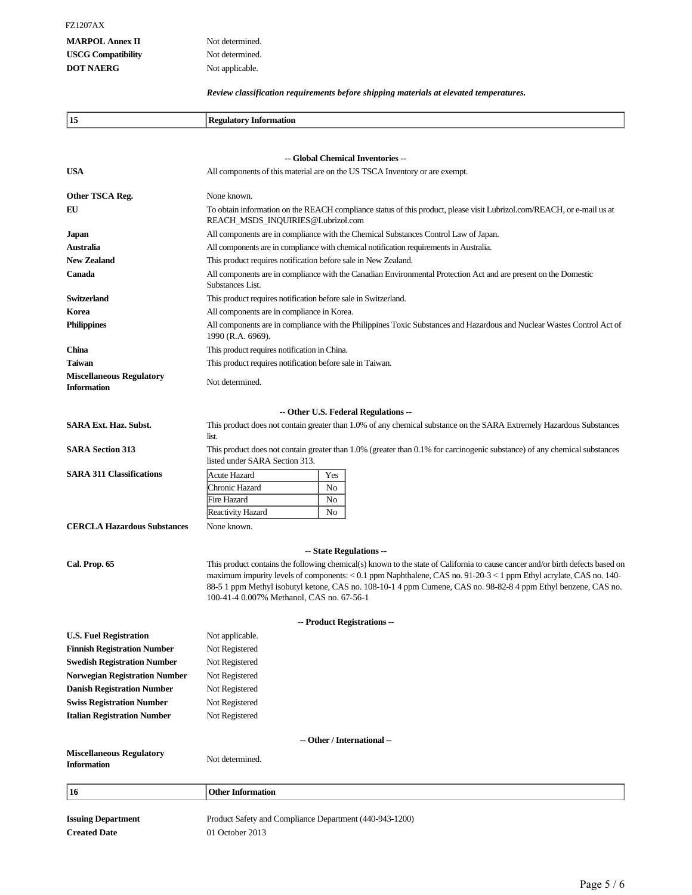# **MARPOL Annex II** Not determined. **USCG Compatibility** Not determined. **DOT NAERG** Not applicable.

*Review classification requirements before shipping materials at elevated temperatures.*

| 15                                                    | <b>Regulatory Information</b>                                                                                                                                                                                                                                                                                                                                                                                       |     |                                                                                                                      |  |  |  |  |
|-------------------------------------------------------|---------------------------------------------------------------------------------------------------------------------------------------------------------------------------------------------------------------------------------------------------------------------------------------------------------------------------------------------------------------------------------------------------------------------|-----|----------------------------------------------------------------------------------------------------------------------|--|--|--|--|
|                                                       |                                                                                                                                                                                                                                                                                                                                                                                                                     |     |                                                                                                                      |  |  |  |  |
|                                                       |                                                                                                                                                                                                                                                                                                                                                                                                                     |     | -- Global Chemical Inventories --                                                                                    |  |  |  |  |
| <b>USA</b>                                            | All components of this material are on the US TSCA Inventory or are exempt.                                                                                                                                                                                                                                                                                                                                         |     |                                                                                                                      |  |  |  |  |
|                                                       |                                                                                                                                                                                                                                                                                                                                                                                                                     |     |                                                                                                                      |  |  |  |  |
| Other TSCA Reg.                                       | None known.                                                                                                                                                                                                                                                                                                                                                                                                         |     |                                                                                                                      |  |  |  |  |
| EU                                                    | To obtain information on the REACH compliance status of this product, please visit Lubrizol.com/REACH, or e-mail us at<br>REACH_MSDS_INQUIRIES@Lubrizol.com                                                                                                                                                                                                                                                         |     |                                                                                                                      |  |  |  |  |
| <b>Japan</b>                                          | All components are in compliance with the Chemical Substances Control Law of Japan.                                                                                                                                                                                                                                                                                                                                 |     |                                                                                                                      |  |  |  |  |
| Australia                                             | All components are in compliance with chemical notification requirements in Australia.                                                                                                                                                                                                                                                                                                                              |     |                                                                                                                      |  |  |  |  |
| <b>New Zealand</b>                                    | This product requires notification before sale in New Zealand.                                                                                                                                                                                                                                                                                                                                                      |     |                                                                                                                      |  |  |  |  |
| Canada                                                | All components are in compliance with the Canadian Environmental Protection Act and are present on the Domestic<br>Substances List.                                                                                                                                                                                                                                                                                 |     |                                                                                                                      |  |  |  |  |
| <b>Switzerland</b>                                    | This product requires notification before sale in Switzerland.                                                                                                                                                                                                                                                                                                                                                      |     |                                                                                                                      |  |  |  |  |
| Korea                                                 | All components are in compliance in Korea.                                                                                                                                                                                                                                                                                                                                                                          |     |                                                                                                                      |  |  |  |  |
| <b>Philippines</b>                                    | All components are in compliance with the Philippines Toxic Substances and Hazardous and Nuclear Wastes Control Act of<br>1990 (R.A. 6969).                                                                                                                                                                                                                                                                         |     |                                                                                                                      |  |  |  |  |
| <b>China</b>                                          | This product requires notification in China.                                                                                                                                                                                                                                                                                                                                                                        |     |                                                                                                                      |  |  |  |  |
| Taiwan                                                | This product requires notification before sale in Taiwan.                                                                                                                                                                                                                                                                                                                                                           |     |                                                                                                                      |  |  |  |  |
| <b>Miscellaneous Regulatory</b><br><b>Information</b> | Not determined.                                                                                                                                                                                                                                                                                                                                                                                                     |     |                                                                                                                      |  |  |  |  |
|                                                       |                                                                                                                                                                                                                                                                                                                                                                                                                     |     | -- Other U.S. Federal Regulations --                                                                                 |  |  |  |  |
| <b>SARA Ext. Haz. Subst.</b>                          |                                                                                                                                                                                                                                                                                                                                                                                                                     |     | This product does not contain greater than 1.0% of any chemical substance on the SARA Extremely Hazardous Substances |  |  |  |  |
|                                                       | list.                                                                                                                                                                                                                                                                                                                                                                                                               |     |                                                                                                                      |  |  |  |  |
| <b>SARA Section 313</b>                               | This product does not contain greater than 1.0% (greater than 0.1% for carcinogenic substance) of any chemical substances<br>listed under SARA Section 313.                                                                                                                                                                                                                                                         |     |                                                                                                                      |  |  |  |  |
| <b>SARA 311 Classifications</b>                       | Acute Hazard                                                                                                                                                                                                                                                                                                                                                                                                        | Yes |                                                                                                                      |  |  |  |  |
|                                                       | Chronic Hazard                                                                                                                                                                                                                                                                                                                                                                                                      | No  |                                                                                                                      |  |  |  |  |
|                                                       | Fire Hazard                                                                                                                                                                                                                                                                                                                                                                                                         | No  |                                                                                                                      |  |  |  |  |
|                                                       | Reactivity Hazard                                                                                                                                                                                                                                                                                                                                                                                                   | No  |                                                                                                                      |  |  |  |  |
| <b>CERCLA Hazardous Substances</b>                    | None known.                                                                                                                                                                                                                                                                                                                                                                                                         |     |                                                                                                                      |  |  |  |  |
|                                                       |                                                                                                                                                                                                                                                                                                                                                                                                                     |     | -- State Regulations --                                                                                              |  |  |  |  |
| Cal. Prop. 65                                         | This product contains the following chemical(s) known to the state of California to cause cancer and/or birth defects based on<br>maximum impurity levels of components: < 0.1 ppm Naphthalene, CAS no. 91-20-3 < 1 ppm Ethyl acrylate, CAS no. 140-<br>88-5 1 ppm Methyl isobutyl ketone, CAS no. 108-10-1 4 ppm Cumene, CAS no. 98-82-8 4 ppm Ethyl benzene, CAS no.<br>100-41-4 0.007% Methanol, CAS no. 67-56-1 |     |                                                                                                                      |  |  |  |  |
|                                                       |                                                                                                                                                                                                                                                                                                                                                                                                                     |     | -- Product Registrations --                                                                                          |  |  |  |  |
| <b>U.S. Fuel Registration</b>                         | Not applicable.                                                                                                                                                                                                                                                                                                                                                                                                     |     |                                                                                                                      |  |  |  |  |
| <b>Finnish Registration Number</b>                    | Not Registered                                                                                                                                                                                                                                                                                                                                                                                                      |     |                                                                                                                      |  |  |  |  |
| <b>Swedish Registration Number</b>                    | Not Registered                                                                                                                                                                                                                                                                                                                                                                                                      |     |                                                                                                                      |  |  |  |  |
| <b>Norwegian Registration Number</b>                  | Not Registered                                                                                                                                                                                                                                                                                                                                                                                                      |     |                                                                                                                      |  |  |  |  |
| <b>Danish Registration Number</b>                     | Not Registered                                                                                                                                                                                                                                                                                                                                                                                                      |     |                                                                                                                      |  |  |  |  |
| <b>Swiss Registration Number</b>                      | Not Registered                                                                                                                                                                                                                                                                                                                                                                                                      |     |                                                                                                                      |  |  |  |  |
| <b>Italian Registration Number</b>                    | Not Registered                                                                                                                                                                                                                                                                                                                                                                                                      |     |                                                                                                                      |  |  |  |  |
|                                                       |                                                                                                                                                                                                                                                                                                                                                                                                                     |     |                                                                                                                      |  |  |  |  |
|                                                       |                                                                                                                                                                                                                                                                                                                                                                                                                     |     | -- Other / International --                                                                                          |  |  |  |  |
| <b>Miscellaneous Regulatory</b><br><b>Information</b> | Not determined.                                                                                                                                                                                                                                                                                                                                                                                                     |     |                                                                                                                      |  |  |  |  |
| 16                                                    | <b>Other Information</b>                                                                                                                                                                                                                                                                                                                                                                                            |     |                                                                                                                      |  |  |  |  |
|                                                       |                                                                                                                                                                                                                                                                                                                                                                                                                     |     |                                                                                                                      |  |  |  |  |
| <b>Issuing Department</b>                             | Product Safety and Compliance Department (440-943-1200)                                                                                                                                                                                                                                                                                                                                                             |     |                                                                                                                      |  |  |  |  |
| <b>Created Date</b>                                   | 01 October 2013                                                                                                                                                                                                                                                                                                                                                                                                     |     |                                                                                                                      |  |  |  |  |